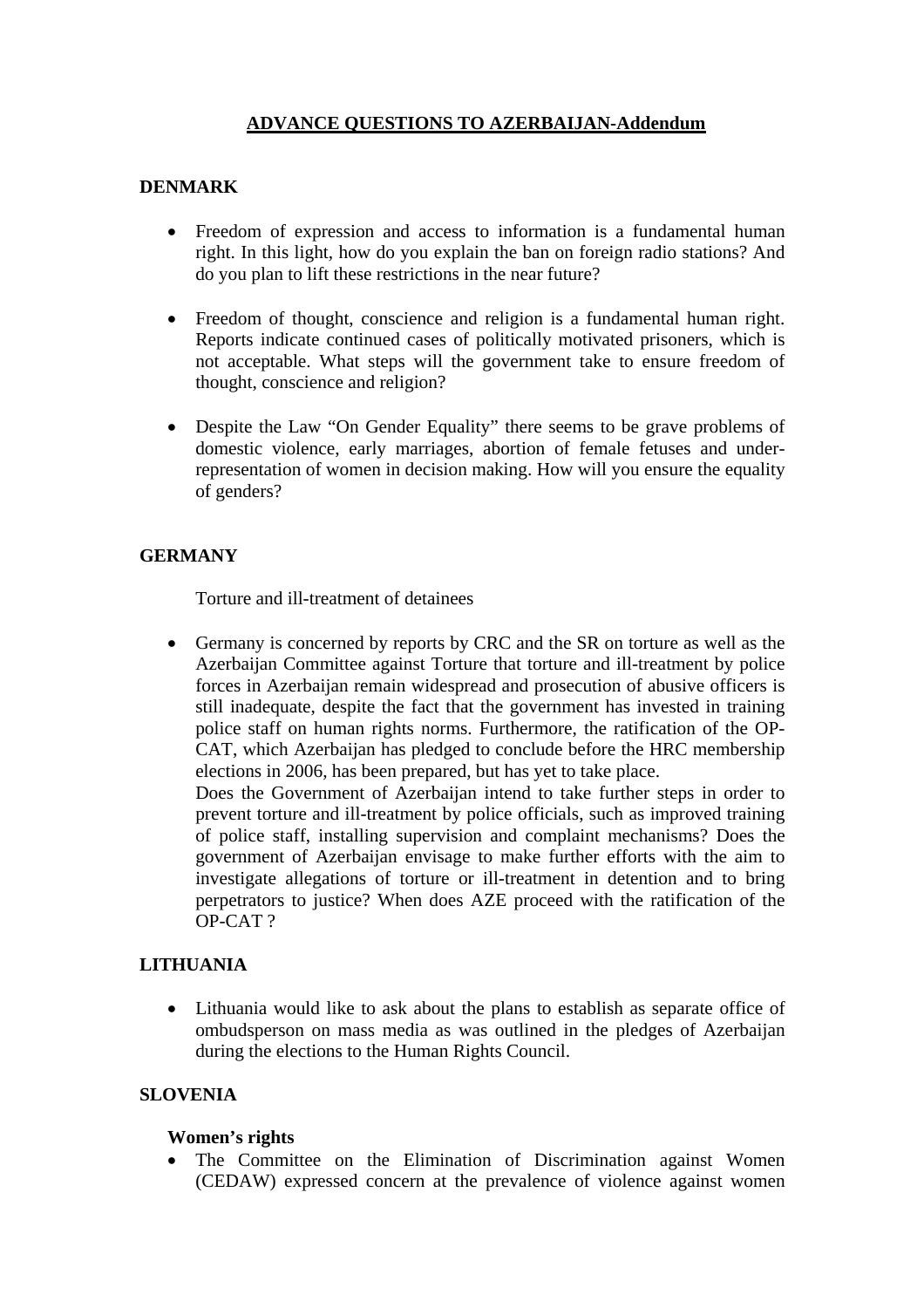# **ADVANCE QUESTIONS TO AZERBAIJAN-Addendum**

## **DENMARK**

- Freedom of expression and access to information is a fundamental human right. In this light, how do you explain the ban on foreign radio stations? And do you plan to lift these restrictions in the near future?
- Freedom of thought, conscience and religion is a fundamental human right. Reports indicate continued cases of politically motivated prisoners, which is not acceptable. What steps will the government take to ensure freedom of thought, conscience and religion?
- Despite the Law "On Gender Equality" there seems to be grave problems of domestic violence, early marriages, abortion of female fetuses and underrepresentation of women in decision making. How will you ensure the equality of genders?

## **GERMANY**

Torture and ill-treatment of detainees

• Germany is concerned by reports by CRC and the SR on torture as well as the Azerbaijan Committee against Torture that torture and ill-treatment by police forces in Azerbaijan remain widespread and prosecution of abusive officers is still inadequate, despite the fact that the government has invested in training police staff on human rights norms. Furthermore, the ratification of the OP-CAT, which Azerbaijan has pledged to conclude before the HRC membership elections in 2006, has been prepared, but has yet to take place.

Does the Government of Azerbaijan intend to take further steps in order to prevent torture and ill-treatment by police officials, such as improved training of police staff, installing supervision and complaint mechanisms? Does the government of Azerbaijan envisage to make further efforts with the aim to investigate allegations of torture or ill-treatment in detention and to bring perpetrators to justice? When does AZE proceed with the ratification of the OP-CAT ?

## **LITHUANIA**

• Lithuania would like to ask about the plans to establish as separate office of ombudsperson on mass media as was outlined in the pledges of Azerbaijan during the elections to the Human Rights Council.

### **SLOVENIA**

### **Women's rights**

• The Committee on the Elimination of Discrimination against Women (CEDAW) expressed concern at the prevalence of violence against women